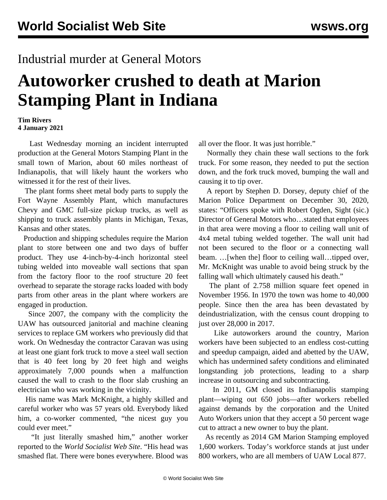## Industrial murder at General Motors

## **Autoworker crushed to death at Marion Stamping Plant in Indiana**

## **Tim Rivers 4 January 2021**

 Last Wednesday morning an incident interrupted production at the General Motors Stamping Plant in the small town of Marion, about 60 miles northeast of Indianapolis, that will likely haunt the workers who witnessed it for the rest of their lives.

 The plant forms sheet metal body parts to supply the Fort Wayne Assembly Plant, which manufactures Chevy and GMC full-size pickup trucks, as well as shipping to truck assembly plants in Michigan, Texas, Kansas and other states.

 Production and shipping schedules require the Marion plant to store between one and two days of buffer product. They use 4-inch-by-4-inch horizontal steel tubing welded into moveable wall sections that span from the factory floor to the roof structure 20 feet overhead to separate the storage racks loaded with body parts from other areas in the plant where workers are engaged in production.

 Since 2007, the company with the complicity the UAW has outsourced janitorial and machine cleaning services to replace GM workers who previously did that work. On Wednesday the contractor Caravan was using at least one giant fork truck to move a steel wall section that is 40 feet long by 20 feet high and weighs approximately 7,000 pounds when a malfunction caused the wall to crash to the floor slab crushing an electrician who was working in the vicinity.

 His name was Mark McKnight, a highly skilled and careful worker who was 57 years old. Everybody liked him, a co-worker commented, "the nicest guy you could ever meet."

 "It just literally smashed him," another worker reported to the *World Socialist Web Site*. "His head was smashed flat. There were bones everywhere. Blood was

all over the floor. It was just horrible."

 Normally they chain these wall sections to the fork truck. For some reason, they needed to put the section down, and the fork truck moved, bumping the wall and causing it to tip over.

 A report by Stephen D. Dorsey, deputy chief of the Marion Police Department on December 30, 2020, states: "Officers spoke with Robert Ogden, Sight (sic.) Director of General Motors who…stated that employees in that area were moving a floor to ceiling wall unit of 4x4 metal tubing welded together. The wall unit had not been secured to the floor or a connecting wall beam. …[when the] floor to ceiling wall…tipped over, Mr. McKnight was unable to avoid being struck by the falling wall which ultimately caused his death."

 The plant of 2.758 million square feet opened in November 1956. In 1970 the town was home to 40,000 people. Since then the area has been devastated by deindustrialization, with the census count dropping to just over 28,000 in 2017.

 Like autoworkers around the country, Marion workers have been subjected to an endless cost-cutting and speedup campaign, aided and abetted by the UAW, which has undermined safety conditions and eliminated longstanding job protections, leading to a sharp increase in outsourcing and subcontracting.

 In 2011, GM closed its Indianapolis stamping plant—wiping out 650 jobs—after workers rebelled against demands by the corporation and the United Auto Workers union that they accept a 50 percent wage cut to attract a new owner to buy the plant.

 As recently as 2014 GM Marion Stamping employed 1,600 workers. Today's workforce stands at just under 800 workers, who are all members of UAW Local 877.